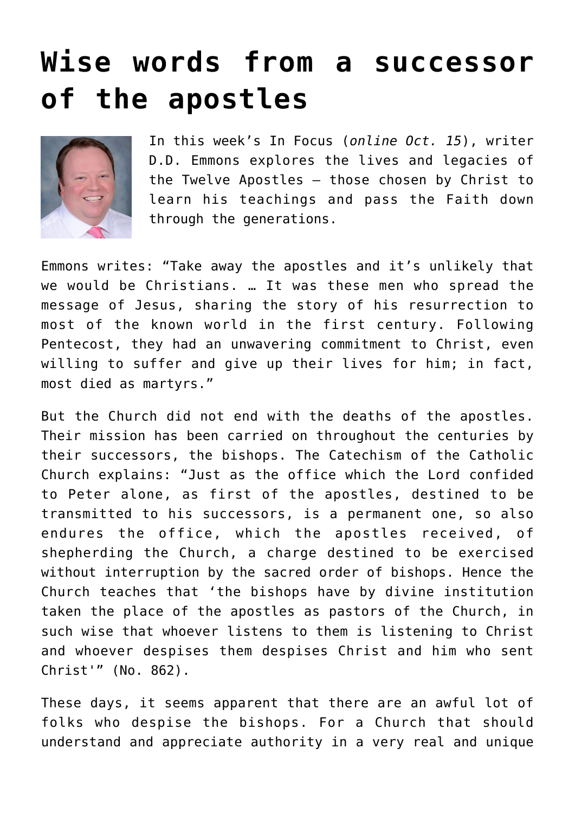## **[Wise words from a successor](https://www.osvnews.com/amp/2021/10/05/wise-words-from-a-successor-of-the-apostles/) [of the apostles](https://www.osvnews.com/amp/2021/10/05/wise-words-from-a-successor-of-the-apostles/)**



In this week's In Focus (*online Oct. 15*), writer D.D. Emmons explores the lives and legacies of the Twelve Apostles — those chosen by Christ to learn his teachings and pass the Faith down through the generations.

Emmons writes: "Take away the apostles and it's unlikely that we would be Christians. … It was these men who spread the message of Jesus, sharing the story of his resurrection to most of the known world in the first century. Following Pentecost, they had an unwavering commitment to Christ, even willing to suffer and give up their lives for him; in fact, most died as martyrs."

But the Church did not end with the deaths of the apostles. Their mission has been carried on throughout the centuries by their successors, the bishops. The Catechism of the Catholic Church explains: "Just as the office which the Lord confided to Peter alone, as first of the apostles, destined to be transmitted to his successors, is a permanent one, so also endures the office, which the apostles received, of shepherding the Church, a charge destined to be exercised without interruption by the sacred order of bishops. Hence the Church teaches that 'the bishops have by divine institution taken the place of the apostles as pastors of the Church, in such wise that whoever listens to them is listening to Christ and whoever despises them despises Christ and him who sent Christ'" (No. 862).

These days, it seems apparent that there are an awful lot of folks who despise the bishops. For a Church that should understand and appreciate authority in a very real and unique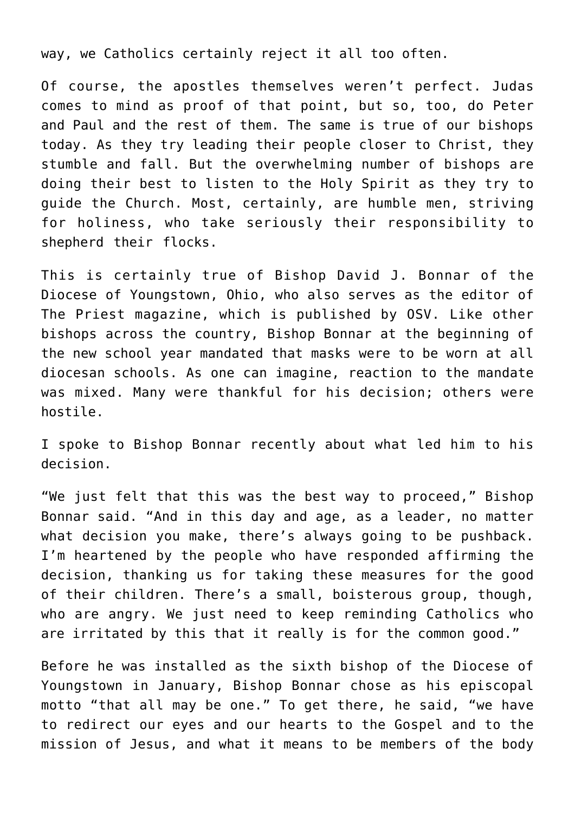way, we Catholics certainly reject it all too often.

Of course, the apostles themselves weren't perfect. Judas comes to mind as proof of that point, but so, too, do Peter and Paul and the rest of them. The same is true of our bishops today. As they try leading their people closer to Christ, they stumble and fall. But the overwhelming number of bishops are doing their best to listen to the Holy Spirit as they try to guide the Church. Most, certainly, are humble men, striving for holiness, who take seriously their responsibility to shepherd their flocks.

This is certainly true of Bishop David J. Bonnar of the Diocese of Youngstown, Ohio, who also serves as the editor of The Priest magazine, which is published by OSV. Like other bishops across the country, Bishop Bonnar at the beginning of the new school year mandated that masks were to be worn at all diocesan schools. As one can imagine, reaction to the mandate was mixed. Many were thankful for his decision; others were hostile.

I spoke to Bishop Bonnar recently about what led him to his decision.

"We just felt that this was the best way to proceed," Bishop Bonnar said. "And in this day and age, as a leader, no matter what decision you make, there's always going to be pushback. I'm heartened by the people who have responded affirming the decision, thanking us for taking these measures for the good of their children. There's a small, boisterous group, though, who are angry. We just need to keep reminding Catholics who are irritated by this that it really is for the common good."

Before he was installed as the sixth bishop of the Diocese of Youngstown in January, Bishop Bonnar chose as his episcopal motto "that all may be one." To get there, he said, "we have to redirect our eyes and our hearts to the Gospel and to the mission of Jesus, and what it means to be members of the body